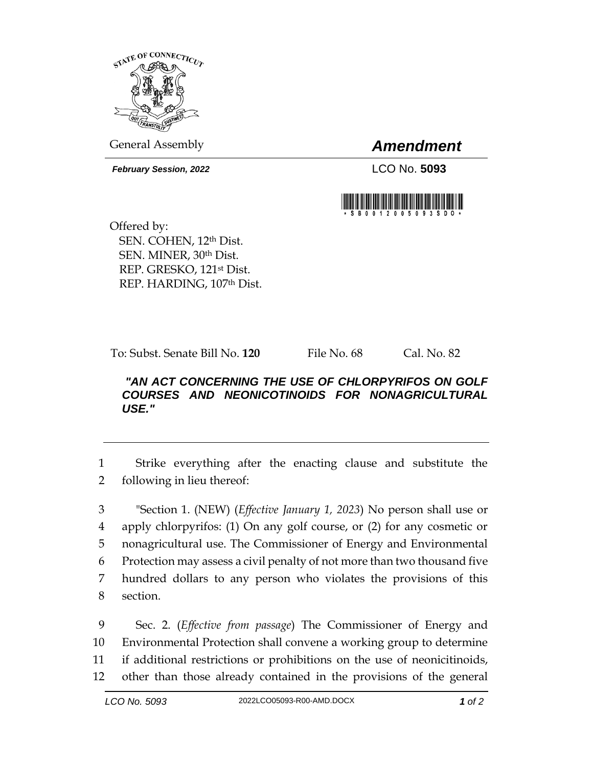

General Assembly *Amendment*

*February Session, 2022* LCO No. **5093**



Offered by: SEN. COHEN, 12th Dist. SEN. MINER, 30th Dist. REP. GRESKO, 121st Dist. REP. HARDING, 107th Dist.

To: Subst. Senate Bill No. **120** File No. 68 Cal. No. 82

## *"AN ACT CONCERNING THE USE OF CHLORPYRIFOS ON GOLF COURSES AND NEONICOTINOIDS FOR NONAGRICULTURAL USE."*

1 Strike everything after the enacting clause and substitute the 2 following in lieu thereof:

 "Section 1. (NEW) (*Effective January 1, 2023*) No person shall use or apply chlorpyrifos: (1) On any golf course, or (2) for any cosmetic or nonagricultural use. The Commissioner of Energy and Environmental Protection may assess a civil penalty of not more than two thousand five hundred dollars to any person who violates the provisions of this section.

 Sec. 2. (*Effective from passage*) The Commissioner of Energy and Environmental Protection shall convene a working group to determine if additional restrictions or prohibitions on the use of neonicitinoids, other than those already contained in the provisions of the general